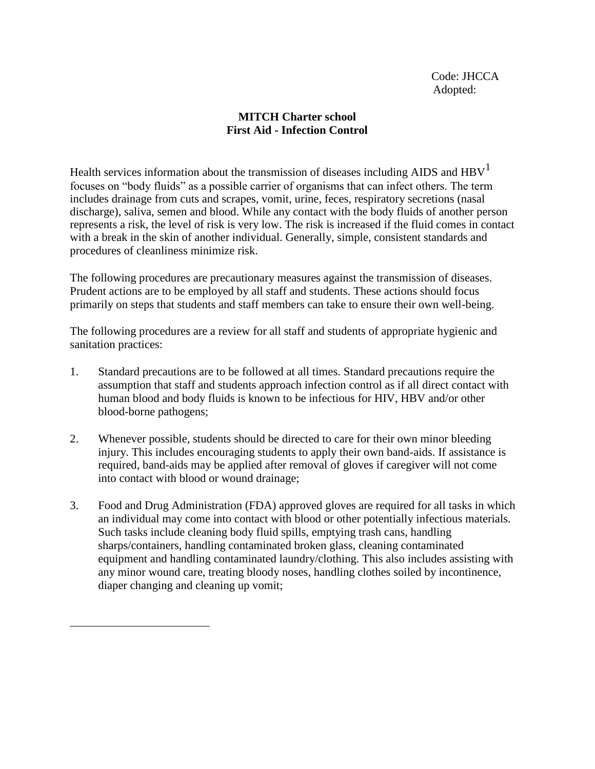## **MITCH Charter school First Aid - Infection Control**

Health services information about the transmission of diseases including AIDS and  $HBV<sup>1</sup>$ focuses on "body fluids" as a possible carrier of organisms that can infect others. The term includes drainage from cuts and scrapes, vomit, urine, feces, respiratory secretions (nasal discharge), saliva, semen and blood. While any contact with the body fluids of another person represents a risk, the level of risk is very low. The risk is increased if the fluid comes in contact with a break in the skin of another individual. Generally, simple, consistent standards and procedures of cleanliness minimize risk.

The following procedures are precautionary measures against the transmission of diseases. Prudent actions are to be employed by all staff and students. These actions should focus primarily on steps that students and staff members can take to ensure their own well-being.

The following procedures are a review for all staff and students of appropriate hygienic and sanitation practices:

- 1. Standard precautions are to be followed at all times. Standard precautions require the assumption that staff and students approach infection control as if all direct contact with human blood and body fluids is known to be infectious for HIV, HBV and/or other blood-borne pathogens;
- 2. Whenever possible, students should be directed to care for their own minor bleeding injury. This includes encouraging students to apply their own band-aids. If assistance is required, band-aids may be applied after removal of gloves if caregiver will not come into contact with blood or wound drainage;
- 3. Food and Drug Administration (FDA) approved gloves are required for all tasks in which an individual may come into contact with blood or other potentially infectious materials. Such tasks include cleaning body fluid spills, emptying trash cans, handling sharps/containers, handling contaminated broken glass, cleaning contaminated equipment and handling contaminated laundry/clothing. This also includes assisting with any minor wound care, treating bloody noses, handling clothes soiled by incontinence, diaper changing and cleaning up vomit;